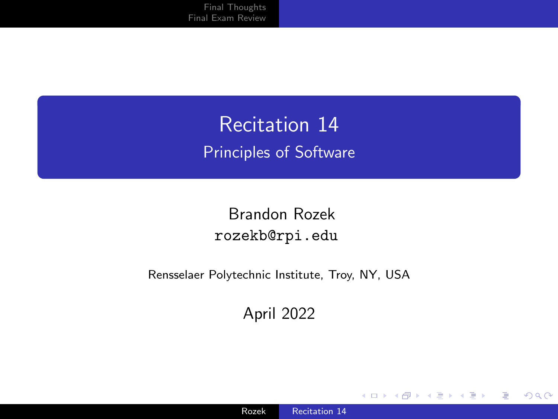> <span id="page-0-0"></span>Recitation 14 Principles of Software

Brandon Rozek [rozekb@rpi.edu](mailto:rozekb@rpi.edu)

Rensselaer Polytechnic Institute, Troy, NY, USA

April 2022

4 0 8

- ← 冊 → ×.  $\sim$ к

∍

경제 ∍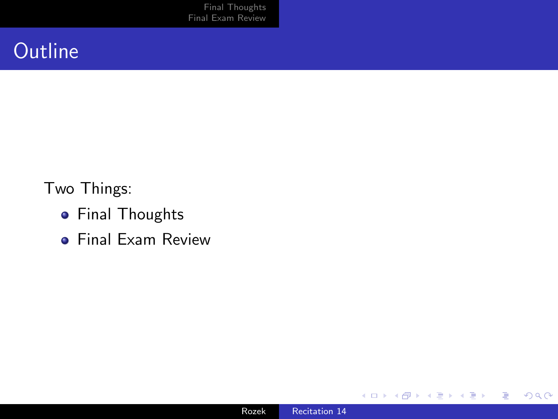### **Outline**

Two Things:

- **•** Final Thoughts
- **•** Final Exam Review

E

Ε  $\,$ 

D.  $\prec$ 

**K ロ ▶ K 伊 ▶ K ミ**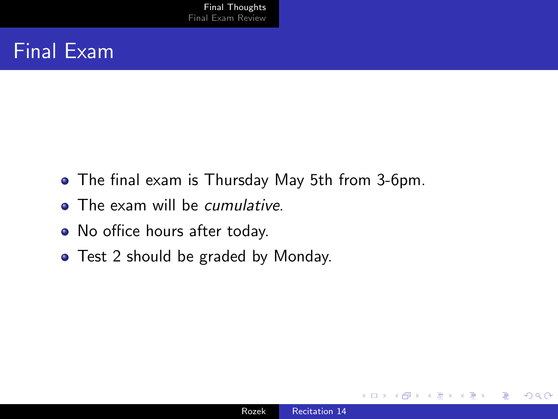## <span id="page-2-0"></span>Final Exam

- The final exam is Thursday May 5th from 3-6pm.
- The exam will be *cumulative*.
- No office hours after today.
- Test 2 should be graded by Monday.

 $\sim$   $\sim$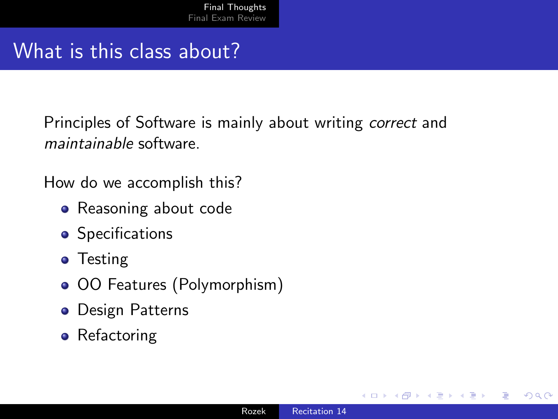#### What is this class about?

Principles of Software is mainly about writing correct and maintainable software.

How do we accomplish this?

- Reasoning about code
- Specifications
- Testing
- OO Features (Polymorphism)
- **o** Design Patterns
- Refactoring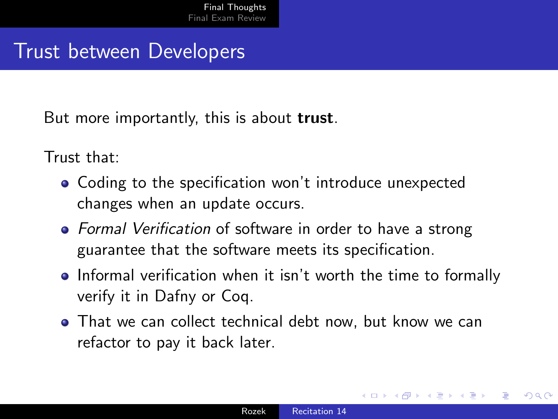#### Trust between Developers

But more importantly, this is about **trust**.

Trust that:

- Coding to the specification won't introduce unexpected changes when an update occurs.
- Formal Verification of software in order to have a strong guarantee that the software meets its specification.
- Informal verification when it isn't worth the time to formally verify it in Dafny or Coq.
- That we can collect technical debt now, but know we can refactor to pay it back later.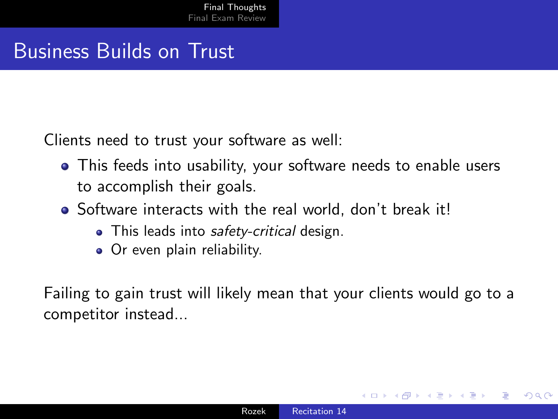### Business Builds on Trust

Clients need to trust your software as well:

- This feeds into usability, your software needs to enable users to accomplish their goals.
- Software interacts with the real world, don't break it!
	- This leads into *safety-critical* design.
	- **•** Or even plain reliability.

Failing to gain trust will likely mean that your clients would go to a competitor instead...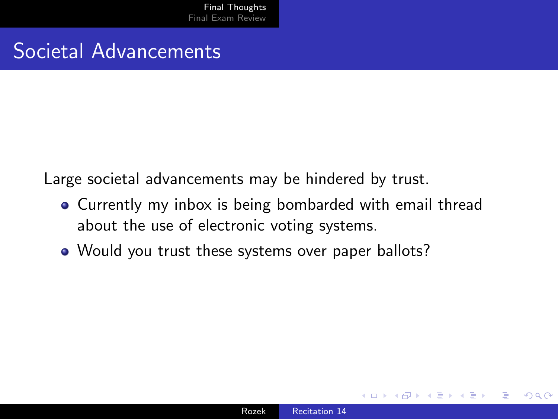#### Societal Advancements

Large societal advancements may be hindered by trust.

- Currently my inbox is being bombarded with email thread about the use of electronic voting systems.
- Would you trust these systems over paper ballots?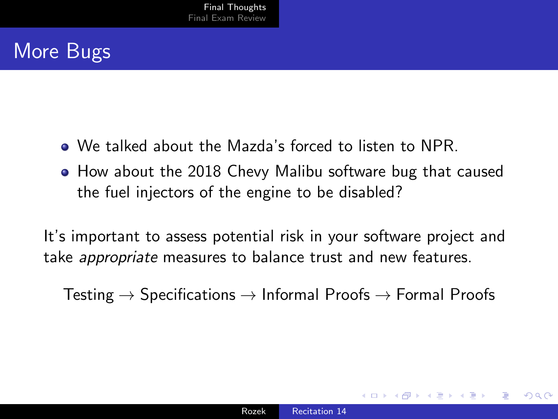## More Bugs

- We talked about the Mazda's forced to listen to NPR.
- How about the 2018 Chevy Malibu software bug that caused the fuel injectors of the engine to be disabled?

It's important to assess potential risk in your software project and take *appropriate* measures to balance trust and new features.

Testing  $\rightarrow$  Specifications  $\rightarrow$  Informal Proofs  $\rightarrow$  Formal Proofs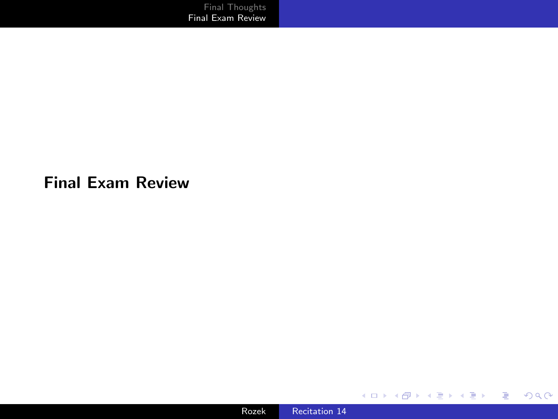<span id="page-8-0"></span>Final Exam Review



メロトメ 御 トメ 君 トメ 君 トー

目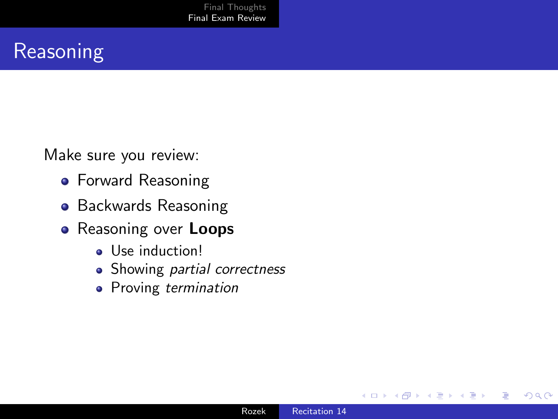### Reasoning

Make sure you review:

- **•** Forward Reasoning
- **Backwards Reasoning**
- Reasoning over Loops
	- Use induction!
	- Showing partial correctness
	- Proving termination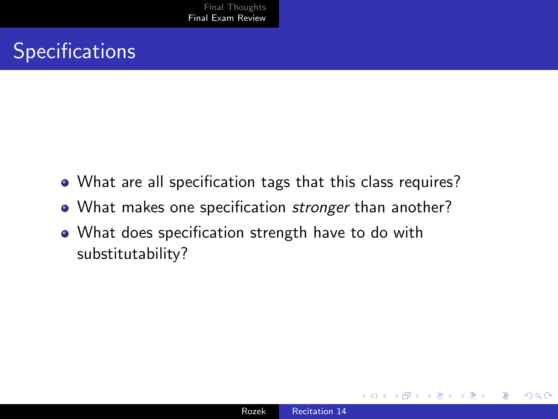## **Specifications**

- What are all specification tags that this class requires?
- What makes one specification *stronger* than another?
- What does specification strength have to do with substitutability?

 $\Omega$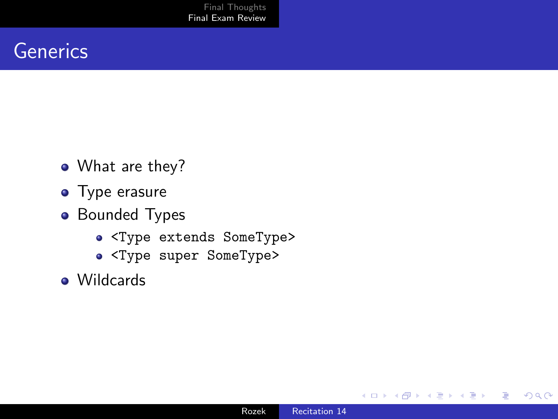### **Generics**

- What are they?
- Type erasure
- **•** Bounded Types
	- <Type extends SomeType>
	- <Type super SomeType>
- Wildcards

4 0 8

④ 骨 → ④ 手

경제 目

D.  $\prec$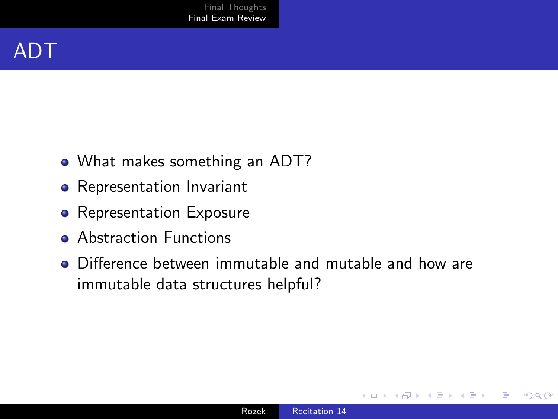- What makes something an ADT?
- **•** Representation Invariant
- Representation Exposure
- **Abstraction Functions**
- Difference between immutable and mutable and how are immutable data structures helpful?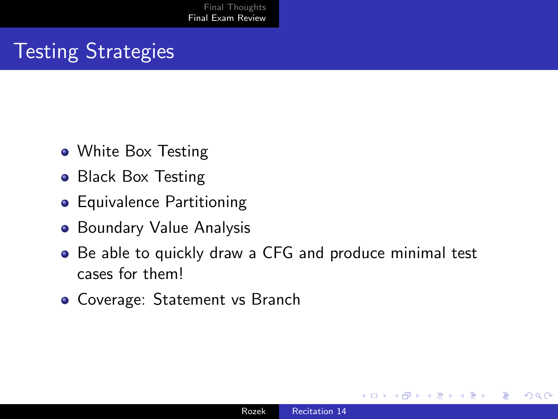## Testing Strategies

- White Box Testing
- Black Box Testing
- **•** Equivalence Partitioning
- **Boundary Value Analysis**
- Be able to quickly draw a CFG and produce minimal test cases for them!
- Coverage: Statement vs Branch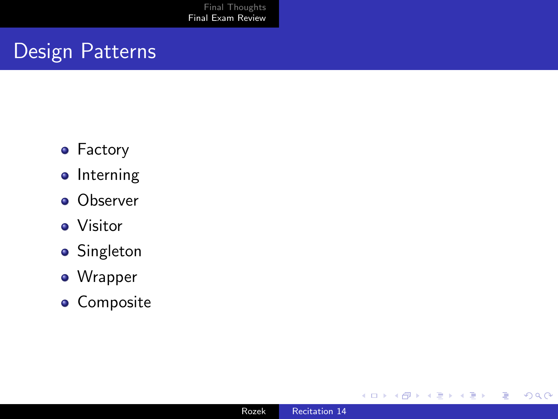### Design Patterns

- **•** Factory
- Interning
- **o** Observer
- Visitor
- **•** Singleton
- Wrapper
- **·** Composite

4日下

4 冊 ▶

∍

×.  $\sim$ к Ε  $\,$  E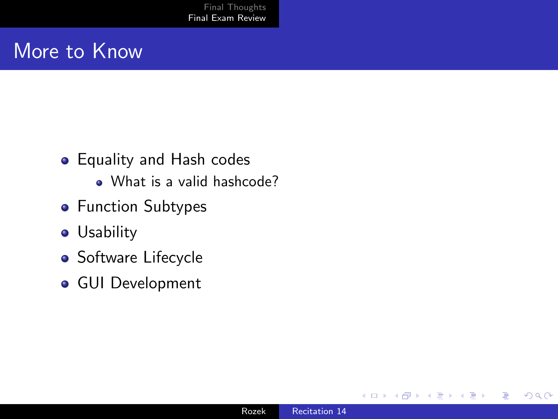#### More to Know

- **•** Equality and Hash codes
	- What is a valid hashcode?
- **•** Function Subtypes
- **•** Usability
- Software Lifecycle
- GUI Development

 $\leftarrow$ 

 $299$ 

∍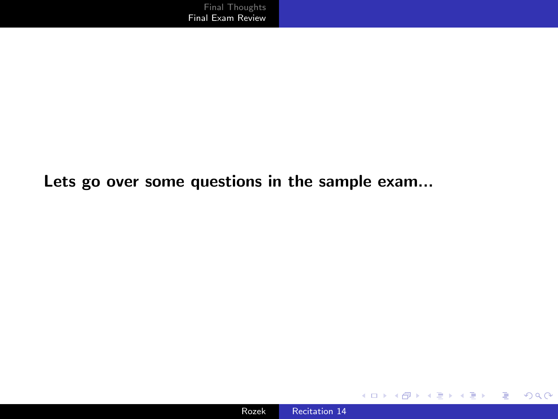Lets go over some questions in the sample exam...



目

医间面的

**∢ ロ ▶ - ∢ 母 ▶ - ∢ ヨ**